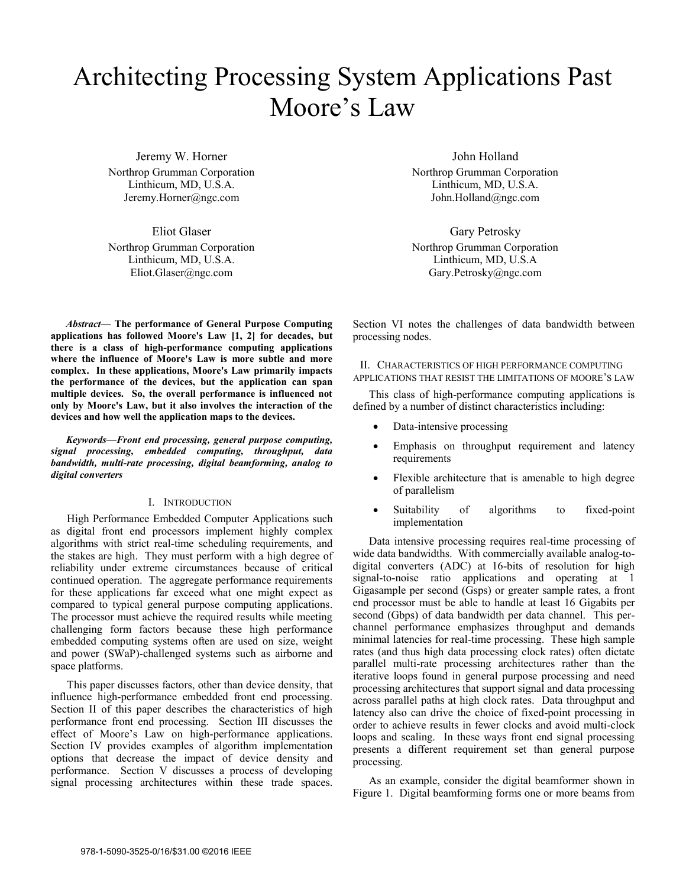# Architecting Processing System Applications Past Moore's Law

Jeremy W. Horner Northrop Grumman Corporation Linthicum, MD, U.S.A. Jeremy.Horner@ngc.com

Eliot Glaser Northrop Grumman Corporation Linthicum, MD, U.S.A. Eliot.Glaser@ngc.com

*Abstract***— The performance of General Purpose Computing applications has followed Moore's Law [1, 2] for decades, but there is a class of high-performance computing applications where the influence of Moore's Law is more subtle and more complex. In these applications, Moore's Law primarily impacts the performance of the devices, but the application can span multiple devices. So, the overall performance is influenced not only by Moore's Law, but it also involves the interaction of the devices and how well the application maps to the devices.**

*Keywords—Front end processing, general purpose computing, signal processing, embedded computing, throughput, data bandwidth, multi-rate processing, digital beamforming, analog to digital converters* 

## I. INTRODUCTION

High Performance Embedded Computer Applications such as digital front end processors implement highly complex algorithms with strict real-time scheduling requirements, and the stakes are high. They must perform with a high degree of reliability under extreme circumstances because of critical continued operation. The aggregate performance requirements for these applications far exceed what one might expect as compared to typical general purpose computing applications. The processor must achieve the required results while meeting challenging form factors because these high performance embedded computing systems often are used on size, weight and power (SWaP)-challenged systems such as airborne and space platforms.

This paper discusses factors, other than device density, that influence high-performance embedded front end processing. Section II of this paper describes the characteristics of high performance front end processing. Section III discusses the effect of Moore's Law on high-performance applications. Section IV provides examples of algorithm implementation options that decrease the impact of device density and performance. Section V discusses a process of developing signal processing architectures within these trade spaces.

John Holland Northrop Grumman Corporation Linthicum, MD, U.S.A. John.Holland@ngc.com

Gary Petrosky Northrop Grumman Corporation Linthicum, MD, U.S.A Gary.Petrosky@ngc.com

Section VI notes the challenges of data bandwidth between processing nodes.

II. CHARACTERISTICS OF HIGH PERFORMANCE COMPUTING APPLICATIONS THAT RESIST THE LIMITATIONS OF MOORE'S LAW

This class of high-performance computing applications is defined by a number of distinct characteristics including:

- Data-intensive processing
- Emphasis on throughput requirement and latency requirements
- Flexible architecture that is amenable to high degree of parallelism
- Suitability of algorithms to fixed-point implementation

Data intensive processing requires real-time processing of wide data bandwidths. With commercially available analog-todigital converters (ADC) at 16-bits of resolution for high signal-to-noise ratio applications and operating at 1 Gigasample per second (Gsps) or greater sample rates, a front end processor must be able to handle at least 16 Gigabits per second (Gbps) of data bandwidth per data channel. This perchannel performance emphasizes throughput and demands minimal latencies for real-time processing. These high sample rates (and thus high data processing clock rates) often dictate parallel multi-rate processing architectures rather than the iterative loops found in general purpose processing and need processing architectures that support signal and data processing across parallel paths at high clock rates. Data throughput and latency also can drive the choice of fixed-point processing in order to achieve results in fewer clocks and avoid multi-clock loops and scaling. In these ways front end signal processing presents a different requirement set than general purpose processing.

As an example, consider the digital beamformer shown in Figure 1. Digital beamforming forms one or more beams from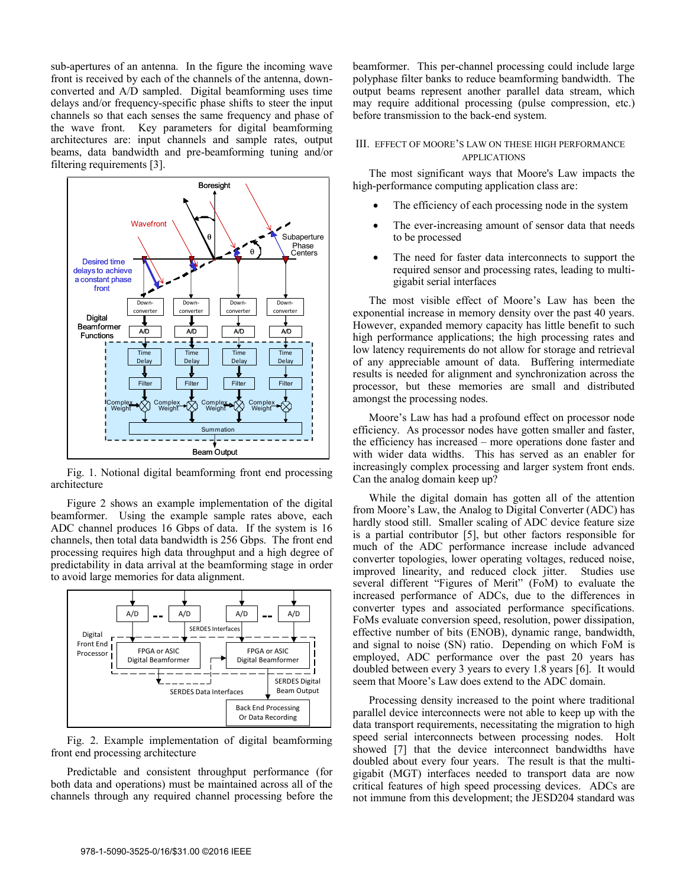sub-apertures of an antenna. In the figure the incoming wave front is received by each of the channels of the antenna, downconverted and A/D sampled. Digital beamforming uses time delays and/or frequency-specific phase shifts to steer the input channels so that each senses the same frequency and phase of the wave front. Key parameters for digital beamforming architectures are: input channels and sample rates, output beams, data bandwidth and pre-beamforming tuning and/or filtering requirements [3].



Fig. 1. Notional digital beamforming front end processing architecture

Figure 2 shows an example implementation of the digital beamformer. Using the example sample rates above, each ADC channel produces 16 Gbps of data. If the system is 16 channels, then total data bandwidth is 256 Gbps. The front end processing requires high data throughput and a high degree of predictability in data arrival at the beamforming stage in order to avoid large memories for data alignment.



Fig. 2. Example implementation of digital beamforming front end processing architecture

Predictable and consistent throughput performance (for both data and operations) must be maintained across all of the channels through any required channel processing before the

beamformer. This per-channel processing could include large polyphase filter banks to reduce beamforming bandwidth. The output beams represent another parallel data stream, which may require additional processing (pulse compression, etc.) before transmission to the back-end system.

## III. EFFECT OF MOORE'S LAW ON THESE HIGH PERFORMANCE APPLICATIONS

The most significant ways that Moore's Law impacts the high-performance computing application class are:

- The efficiency of each processing node in the system
- The ever-increasing amount of sensor data that needs to be processed
- The need for faster data interconnects to support the required sensor and processing rates, leading to multigigabit serial interfaces

The most visible effect of Moore's Law has been the exponential increase in memory density over the past 40 years. However, expanded memory capacity has little benefit to such high performance applications; the high processing rates and low latency requirements do not allow for storage and retrieval of any appreciable amount of data. Buffering intermediate results is needed for alignment and synchronization across the processor, but these memories are small and distributed amongst the processing nodes.

Moore's Law has had a profound effect on processor node efficiency. As processor nodes have gotten smaller and faster, the efficiency has increased – more operations done faster and with wider data widths. This has served as an enabler for increasingly complex processing and larger system front ends. Can the analog domain keep up?

While the digital domain has gotten all of the attention from Moore's Law, the Analog to Digital Converter (ADC) has hardly stood still. Smaller scaling of ADC device feature size is a partial contributor [5], but other factors responsible for much of the ADC performance increase include advanced converter topologies, lower operating voltages, reduced noise, improved linearity, and reduced clock jitter. Studies use several different "Figures of Merit" (FoM) to evaluate the increased performance of ADCs, due to the differences in converter types and associated performance specifications. FoMs evaluate conversion speed, resolution, power dissipation, effective number of bits (ENOB), dynamic range, bandwidth, and signal to noise (SN) ratio. Depending on which FoM is employed, ADC performance over the past 20 years has doubled between every 3 years to every 1.8 years [6]. It would seem that Moore's Law does extend to the ADC domain.

Processing density increased to the point where traditional parallel device interconnects were not able to keep up with the data transport requirements, necessitating the migration to high speed serial interconnects between processing nodes. Holt showed [7] that the device interconnect bandwidths have doubled about every four years. The result is that the multigigabit (MGT) interfaces needed to transport data are now critical features of high speed processing devices. ADCs are not immune from this development; the JESD204 standard was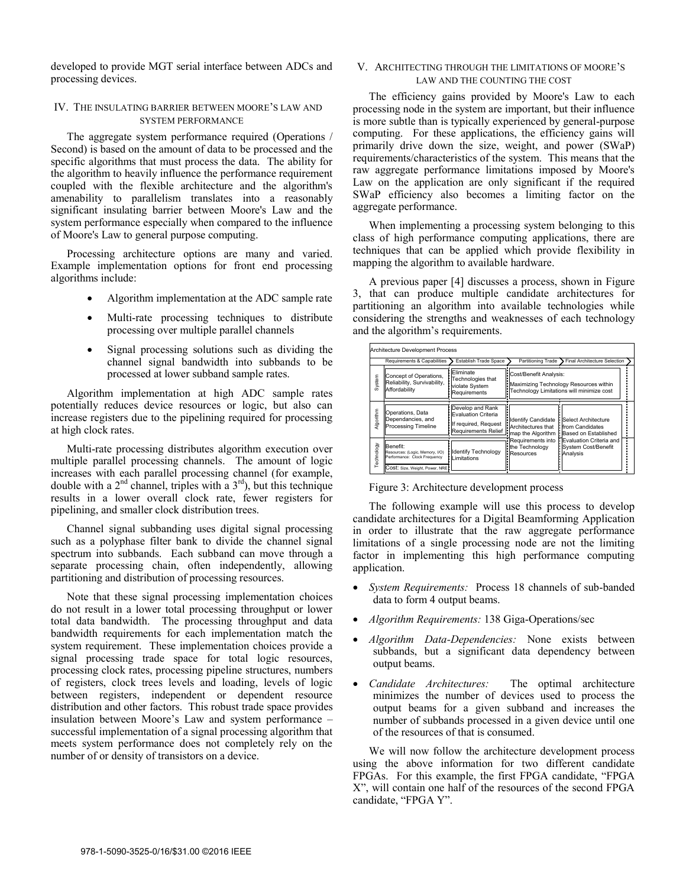developed to provide MGT serial interface between ADCs and processing devices.

## IV. THE INSULATING BARRIER BETWEEN MOORE'S LAW AND SYSTEM PERFORMANCE

The aggregate system performance required (Operations / Second) is based on the amount of data to be processed and the specific algorithms that must process the data. The ability for the algorithm to heavily influence the performance requirement coupled with the flexible architecture and the algorithm's amenability to parallelism translates into a reasonably significant insulating barrier between Moore's Law and the system performance especially when compared to the influence of Moore's Law to general purpose computing.

Processing architecture options are many and varied. Example implementation options for front end processing algorithms include:

- Algorithm implementation at the ADC sample rate
- Multi-rate processing techniques to distribute processing over multiple parallel channels
- Signal processing solutions such as dividing the channel signal bandwidth into subbands to be processed at lower subband sample rates.

Algorithm implementation at high ADC sample rates potentially reduces device resources or logic, but also can increase registers due to the pipelining required for processing at high clock rates.

Multi-rate processing distributes algorithm execution over multiple parallel processing channels. The amount of logic increases with each parallel processing channel (for example, double with a  $2<sup>nd</sup>$  channel, triples with a  $3<sup>rd</sup>$ , but this technique results in a lower overall clock rate, fewer registers for pipelining, and smaller clock distribution trees.

Channel signal subbanding uses digital signal processing such as a polyphase filter bank to divide the channel signal spectrum into subbands. Each subband can move through a separate processing chain, often independently, allowing partitioning and distribution of processing resources.

Note that these signal processing implementation choices do not result in a lower total processing throughput or lower total data bandwidth. The processing throughput and data bandwidth requirements for each implementation match the system requirement. These implementation choices provide a signal processing trade space for total logic resources, processing clock rates, processing pipeline structures, numbers of registers, clock trees levels and loading, levels of logic between registers, independent or dependent resource distribution and other factors. This robust trade space provides insulation between Moore's Law and system performance – successful implementation of a signal processing algorithm that meets system performance does not completely rely on the number of or density of transistors on a device.

## V. ARCHITECTING THROUGH THE LIMITATIONS OF MOORE'S LAW AND THE COUNTING THE COST

The efficiency gains provided by Moore's Law to each processing node in the system are important, but their influence is more subtle than is typically experienced by general-purpose computing. For these applications, the efficiency gains will primarily drive down the size, weight, and power (SWaP) requirements/characteristics of the system. This means that the raw aggregate performance limitations imposed by Moore's Law on the application are only significant if the required SWaP efficiency also becomes a limiting factor on the aggregate performance.

When implementing a processing system belonging to this class of high performance computing applications, there are techniques that can be applied which provide flexibility in mapping the algorithm to available hardware.

A previous paper [4] discusses a process, shown in Figure 3, that can produce multiple candidate architectures for partitioning an algorithm into available technologies while considering the strengths and weaknesses of each technology and the algorithm's requirements.

| Architecture Development Process |                                                                                                               |                                                                                               |                                                                                                               |                                                                                                                                                                              |
|----------------------------------|---------------------------------------------------------------------------------------------------------------|-----------------------------------------------------------------------------------------------|---------------------------------------------------------------------------------------------------------------|------------------------------------------------------------------------------------------------------------------------------------------------------------------------------|
|                                  | Requirements & Capabilities                                                                                   | Establish Trade Space                                                                         | Partitioning Trade                                                                                            | <b>Final Architecture Selection</b>                                                                                                                                          |
| System                           | Concept of Operations,<br>Reliability, Survivability,<br>Affordability                                        | Eliminate<br>Technologies that<br>violate System<br>Requirements                              | Cost/Benefit Analysis:<br>Maximizing Technology Resources within<br>Technology Limitations will minimize cost |                                                                                                                                                                              |
| Algorithm                        | Operations, Data<br>Dependancies, and<br>Processing Timeline                                                  | Develop and Rank<br><b>Evaluation Criteria</b><br>If required, Request<br>Requirements Relief | : Architectures that   from Candidates<br>: the Technology<br>Resources                                       | Identify Candidate   Select Architecture<br>map the Algorithm   Based on Established<br>Requirements into <b>HEvaluation</b> Criteria and<br>System Cost/Benefit<br>Analysis |
| Technology                       | Benefit:<br>Resources: (Logic, Memory, I/O)<br>Performance: Clock Frequency<br>COSt: Size, Weight, Power, NRE | <b>Identify Technology</b><br>Limitations                                                     |                                                                                                               |                                                                                                                                                                              |

Figure 3: Architecture development process

The following example will use this process to develop candidate architectures for a Digital Beamforming Application in order to illustrate that the raw aggregate performance limitations of a single processing node are not the limiting factor in implementing this high performance computing application.

- *System Requirements:* Process 18 channels of sub-banded data to form 4 output beams.
- *Algorithm Requirements:* 138 Giga-Operations/sec
- *Algorithm Data-Dependencies:* None exists between subbands, but a significant data dependency between output beams.
- *Candidate Architectures:* The optimal architecture minimizes the number of devices used to process the output beams for a given subband and increases the number of subbands processed in a given device until one of the resources of that is consumed.

We will now follow the architecture development process using the above information for two different candidate FPGAs. For this example, the first FPGA candidate, "FPGA X", will contain one half of the resources of the second FPGA candidate, "FPGA Y".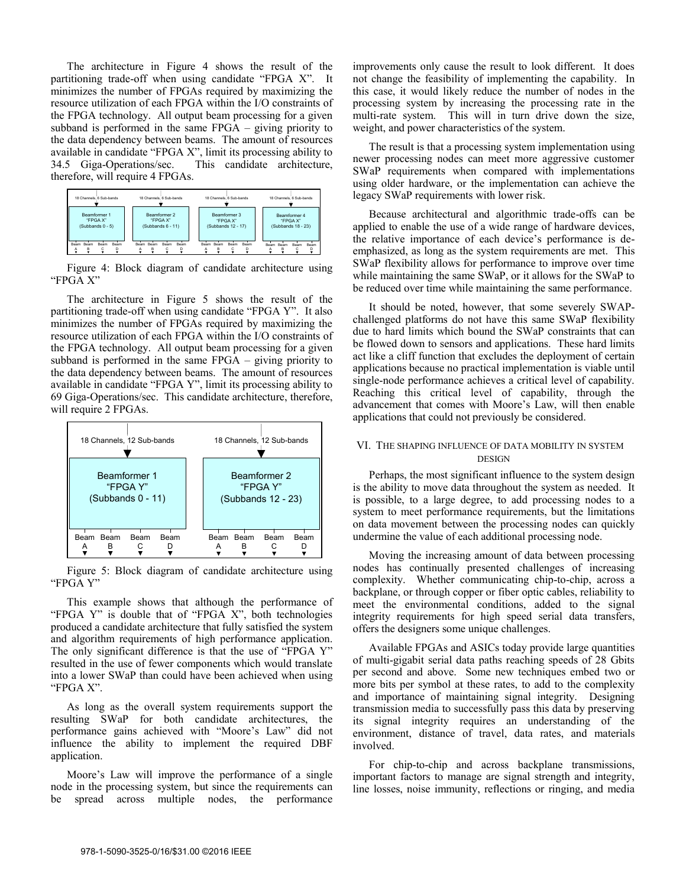The architecture in Figure 4 shows the result of the partitioning trade-off when using candidate "FPGA X". It minimizes the number of FPGAs required by maximizing the resource utilization of each FPGA within the I/O constraints of the FPGA technology. All output beam processing for a given subband is performed in the same FPGA – giving priority to the data dependency between beams. The amount of resources available in candidate "FPGA X", limit its processing ability to 34.5 Giga-Operations/sec. This candidate architecture, therefore, will require 4 FPGAs.



Figure 4: Block diagram of candidate architecture using "FPGA X"

The architecture in Figure 5 shows the result of the partitioning trade-off when using candidate "FPGA Y". It also minimizes the number of FPGAs required by maximizing the resource utilization of each FPGA within the I/O constraints of the FPGA technology. All output beam processing for a given subband is performed in the same FPGA – giving priority to the data dependency between beams. The amount of resources available in candidate "FPGA Y", limit its processing ability to 69 Giga-Operations/sec. This candidate architecture, therefore, will require 2 FPGAs.



Figure 5: Block diagram of candidate architecture using "FPGA Y"

This example shows that although the performance of "FPGA Y" is double that of "FPGA X", both technologies produced a candidate architecture that fully satisfied the system and algorithm requirements of high performance application. The only significant difference is that the use of "FPGA Y" resulted in the use of fewer components which would translate into a lower SWaP than could have been achieved when using "FPGA X".

As long as the overall system requirements support the resulting SWaP for both candidate architectures, the performance gains achieved with "Moore's Law" did not influence the ability to implement the required DBF application.

Moore's Law will improve the performance of a single node in the processing system, but since the requirements can be spread across multiple nodes, the performance improvements only cause the result to look different. It does not change the feasibility of implementing the capability. In this case, it would likely reduce the number of nodes in the processing system by increasing the processing rate in the multi-rate system. This will in turn drive down the size, weight, and power characteristics of the system.

The result is that a processing system implementation using newer processing nodes can meet more aggressive customer SWaP requirements when compared with implementations using older hardware, or the implementation can achieve the legacy SWaP requirements with lower risk.

Because architectural and algorithmic trade-offs can be applied to enable the use of a wide range of hardware devices, the relative importance of each device's performance is deemphasized, as long as the system requirements are met. This SWaP flexibility allows for performance to improve over time while maintaining the same SWaP, or it allows for the SWaP to be reduced over time while maintaining the same performance.

It should be noted, however, that some severely SWAPchallenged platforms do not have this same SWaP flexibility due to hard limits which bound the SWaP constraints that can be flowed down to sensors and applications. These hard limits act like a cliff function that excludes the deployment of certain applications because no practical implementation is viable until single-node performance achieves a critical level of capability. Reaching this critical level of capability, through the advancement that comes with Moore's Law, will then enable applications that could not previously be considered.

## VI. THE SHAPING INFLUENCE OF DATA MOBILITY IN SYSTEM **DESIGN**

Perhaps, the most significant influence to the system design is the ability to move data throughout the system as needed. It is possible, to a large degree, to add processing nodes to a system to meet performance requirements, but the limitations on data movement between the processing nodes can quickly undermine the value of each additional processing node.

Moving the increasing amount of data between processing nodes has continually presented challenges of increasing complexity. Whether communicating chip-to-chip, across a backplane, or through copper or fiber optic cables, reliability to meet the environmental conditions, added to the signal integrity requirements for high speed serial data transfers, offers the designers some unique challenges.

Available FPGAs and ASICs today provide large quantities of multi-gigabit serial data paths reaching speeds of 28 Gbits per second and above. Some new techniques embed two or more bits per symbol at these rates, to add to the complexity and importance of maintaining signal integrity. Designing transmission media to successfully pass this data by preserving its signal integrity requires an understanding of the environment, distance of travel, data rates, and materials involved.

For chip-to-chip and across backplane transmissions, important factors to manage are signal strength and integrity, line losses, noise immunity, reflections or ringing, and media